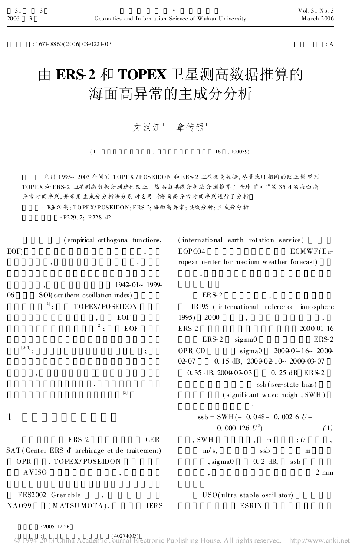$: 167 + 8860(2006)$   $03-022+03$   $: A$ 

## 由 ERS-2 和 TOPEX 卫星测高数据推算的 海面高异常的主成分分析

## 文汉江1 章传银1

 $(1, 100039)$ 

: 利用 1995~ 2003 年间的 TOPEX / POSEIDON 和 ERS-2 卫星测高数据, 尽量采用 相同的改正模型对 TOPEX 和 ERS-2 卫星测高数据分别进行改正, 然后由共线分析法分别推算了全球 1° × 1° 的 35 d 的海面高 异常时间序列, 并采用主成分分析法分别对这两个海面高异常时间序列进行了分析

: 卫星测高; TOPEX/POSEIDON; ERS-2; 海面高异常; 共线分析; 主成分分析

: P229. 2; P228. 42

|                                               |                                 | (empirical orthogonal functions, |                                             | (international earth rotation service) |                        |  |
|-----------------------------------------------|---------------------------------|----------------------------------|---------------------------------------------|----------------------------------------|------------------------|--|
| EOF)                                          |                                 |                                  | EOPC04                                      |                                        | ECMWF(Eu               |  |
| ${,}$<br>$\overline{\phantom{a}}$             |                                 |                                  | ropean center for medium weather forecast)  |                                        |                        |  |
|                                               |                                 |                                  | $\overline{\phantom{a}}$                    |                                        |                        |  |
|                                               | 1942-01~1999-                   |                                  |                                             |                                        |                        |  |
| 06                                            | SOI(southern oscillation index) |                                  | $ERS-2$                                     |                                        |                        |  |
|                                               | <b>TOPEX/POSEIDON</b>           |                                  | IRI95 (international reference ionosphere   |                                        |                        |  |
|                                               |                                 | EOF                              | 2000<br>1995)                               |                                        |                        |  |
|                                               | $^{\left[2\right]};$            | EOF                              | ERS-2                                       |                                        | 200001-16              |  |
|                                               |                                 |                                  | $ERS-2$                                     | signa0                                 | $ERS-2$                |  |
| $^{[3-4]},$                                   |                                 | $\vdots$                         | OPR CD                                      | sigma                                  | $20000116 - 2000$      |  |
|                                               |                                 |                                  | $0.15$ dB, $20000210$ $20000307$<br>$02-07$ |                                        |                        |  |
| $\overline{\phantom{a}}$                      |                                 |                                  | $0.35$ dB, $20000303$                       |                                        | 0.25 dB ERS-2          |  |
| $^\bullet$<br>$[5]$                           |                                 |                                  |                                             |                                        | $ssb$ (sea-state bias) |  |
|                                               |                                 | (significant wave height, SWH)   |                                             |                                        |                        |  |
|                                               |                                 |                                  |                                             | $\ddot{\cdot}$                         |                        |  |
| 1                                             |                                 |                                  | $ssb = SWH(- 0.048 - 0.002 6 U +$           |                                        |                        |  |
|                                               |                                 |                                  |                                             | 0. 000 126 $U^2$ )<br>(1)              |                        |  |
|                                               | $ERS-2$                         | $CER-$                           | $,$ SWH                                     | m                                      | ;U                     |  |
| SAT (Center ERS d'archirage et de traitement) |                                 |                                  | $m/s$ ,                                     | ssb                                    | m                      |  |
| , TOPEX/POSEIDON<br><b>OPR</b>                |                                 |                                  | $,$ sigma $0$                               | $0.2$ dB,                              | ssb                    |  |
| <b>AVISO</b>                                  |                                 |                                  | $\overline{\phantom{a}}$                    |                                        | $2 \text{ mm}$         |  |
| FES2002 Grenoble                              |                                 |                                  | USO(ultra stable oscillator)                |                                        |                        |  |
| NA099                                         | (MATSUMOTA),                    | <b>IERS</b>                      |                                             | <b>ESRIN</b>                           |                        |  |

© 1994-2013 China Academic Journal Electronic Publishing House. All rights reserved. http://www.cnki.net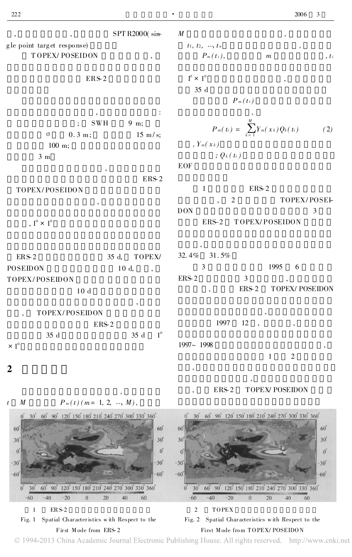SPT R2000( sing le point targ et respo nse) T OPEX/ POSEIDON ,

## ERS-2

, where  $\mathbf{r}$  is the set of  $\mathbf{r}$  is the set of  $\mathbf{r}$  is the set of  $\mathbf{r}$  $SWH$  9 m;  $\sigma$  0. 3 m; 15 m/s; 100 m;

,

,

3 m

TOPEX/ POSEIDON

,  $1^\circ \times 1^\circ$ 

ERS-2 35 d, TOPEX/ POSEIDON 10 d, TOPEX/ POSEIDON 10 d

, , TOPEX/ POSEIDON ERS-2

 $35 \text{ d} \qquad 35 \text{ d} \qquad 1^{\circ}$  $\times$  1 $^{\circ}$ 

,

2

t  $M$   $P_m(t)$  ( $m=1, 2, ..., M$ ),



© 1994-2013 China Academic Journal Electronic Publishing House. All rights reserved. http://www.cnki.net

 $\bullet$  2006 3

M ,  $t_1, t_2, ..., t_n$  $P_m(t_i),$  m , ti

 $P_m(t_i)$ 

 $1^\circ \times 1^\circ$ 35 d

$$
P_m(t_i) = \sum_{k=1}^M Y_m(x_k) Q_k(t_i)
$$
  
, 
$$
Y_m(x_k)
$$
  
; 
$$
Q_k(t_i)
$$
 (2)

EOF

ERS-2

1 ERS-2 2 TOPEX/POSEI-DON 3 ERS-2 T OPEX/ POSEIDON

, 32. 4% 31. 5% 3 1995 6  $ERS-2$  3 , ERS-2 TOPEX/ POSEIDON

, 1997 12

1997~ 1998 , 1 2 ,

,

, ERS-2 TOPEX/ POSEIDON